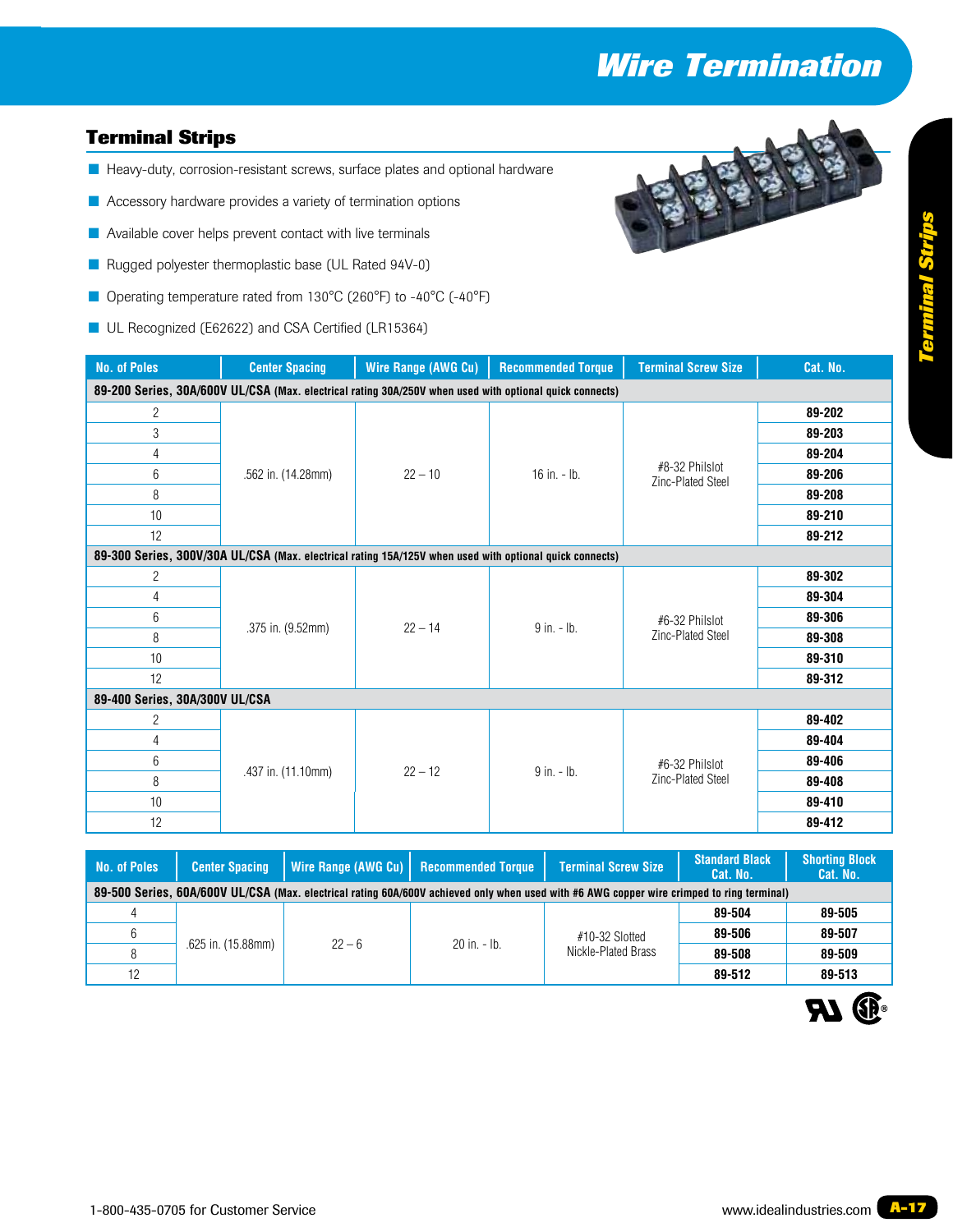# *Wire Termination*

### **Terminal Strips**

- **Heavy-duty, corrosion-resistant screws, surface plates and optional hardware**
- **E** Accessory hardware provides a variety of termination options
- **E** Available cover helps prevent contact with live terminals
- Rugged polyester thermoplastic base (UL Rated 94V-0)
- Operating temperature rated from 130°C (260°F) to -40°C (-40°F)
- UL Recognized (E62622) and CSA Certified (LR15364)



| <b>No. of Poles</b>                                                                                     | <b>Center Spacing</b> | Wire Range (AWG Cu)                                                                                     | <b>Recommended Torque</b> | <b>Terminal Screw Size</b>          | Cat. No. |  |
|---------------------------------------------------------------------------------------------------------|-----------------------|---------------------------------------------------------------------------------------------------------|---------------------------|-------------------------------------|----------|--|
| 89-200 Series, 30A/600V UL/CSA (Max. electrical rating 30A/250V when used with optional quick connects) |                       |                                                                                                         |                           |                                     |          |  |
| $\overline{c}$                                                                                          |                       | $22 - 10$                                                                                               | 16 in. $-$ lb.            | #8-32 Philslot<br>Zinc-Plated Steel | 89-202   |  |
| 3                                                                                                       |                       |                                                                                                         |                           |                                     | 89-203   |  |
| 4                                                                                                       |                       |                                                                                                         |                           |                                     | 89-204   |  |
| 6                                                                                                       | .562 in. (14.28mm)    |                                                                                                         |                           |                                     | 89-206   |  |
| 8                                                                                                       |                       |                                                                                                         |                           |                                     | 89-208   |  |
| 10                                                                                                      |                       |                                                                                                         |                           |                                     | 89-210   |  |
| 12                                                                                                      |                       |                                                                                                         |                           |                                     | 89-212   |  |
|                                                                                                         |                       | 89-300 Series, 300V/30A UL/CSA (Max. electrical rating 15A/125V when used with optional quick connects) |                           |                                     |          |  |
| $\overline{c}$                                                                                          |                       | $22 - 14$                                                                                               | $9$ in. $-$ lb.           | #6-32 Philslot<br>Zinc-Plated Steel | 89-302   |  |
| 4                                                                                                       |                       |                                                                                                         |                           |                                     | 89-304   |  |
| 6                                                                                                       | .375 in. (9.52mm)     |                                                                                                         |                           |                                     | 89-306   |  |
| 8                                                                                                       |                       |                                                                                                         |                           |                                     | 89-308   |  |
| 10                                                                                                      |                       |                                                                                                         |                           |                                     | 89-310   |  |
| 12                                                                                                      |                       |                                                                                                         |                           |                                     | 89-312   |  |
| 89-400 Series, 30A/300V UL/CSA                                                                          |                       |                                                                                                         |                           |                                     |          |  |
| $\overline{c}$                                                                                          |                       | $22 - 12$<br>$9$ in $-$ lb.                                                                             |                           |                                     | 89-402   |  |
| 4                                                                                                       | .437 in. (11.10mm)    |                                                                                                         |                           | #6-32 Philslot<br>Zinc-Plated Steel | 89-404   |  |
| 6                                                                                                       |                       |                                                                                                         |                           |                                     | 89-406   |  |
| 8                                                                                                       |                       |                                                                                                         |                           |                                     | 89-408   |  |
| 10                                                                                                      |                       |                                                                                                         |                           |                                     | 89-410   |  |
| 12                                                                                                      |                       |                                                                                                         |                           |                                     | 89-412   |  |

| <b>Center Spacing</b>                                                                                                                     |          |  | <b>Terminal Screw Size</b>                                  | <b>Standard Black</b><br>Cat. No. | <b>Shorting Block</b><br>Cat. No. |  |  |
|-------------------------------------------------------------------------------------------------------------------------------------------|----------|--|-------------------------------------------------------------|-----------------------------------|-----------------------------------|--|--|
| 89-500 Series, 60A/600V UL/CSA (Max. electrical rating 60A/600V achieved only when used with #6 AWG copper wire crimped to ring terminal) |          |  |                                                             |                                   |                                   |  |  |
| .625 in. (15.88mm)                                                                                                                        | $22 - 6$ |  | #10-32 Slotted<br>Nickle-Plated Brass                       | 89-504                            | 89-505                            |  |  |
|                                                                                                                                           |          |  |                                                             | 89-506                            | 89-507                            |  |  |
|                                                                                                                                           |          |  |                                                             | 89-508                            | 89-509                            |  |  |
|                                                                                                                                           |          |  |                                                             | 89-512                            | 89-513                            |  |  |
|                                                                                                                                           |          |  | Wire Range (AWG Cu)   Recommended Torque<br>$20$ in $-$ lb. |                                   |                                   |  |  |